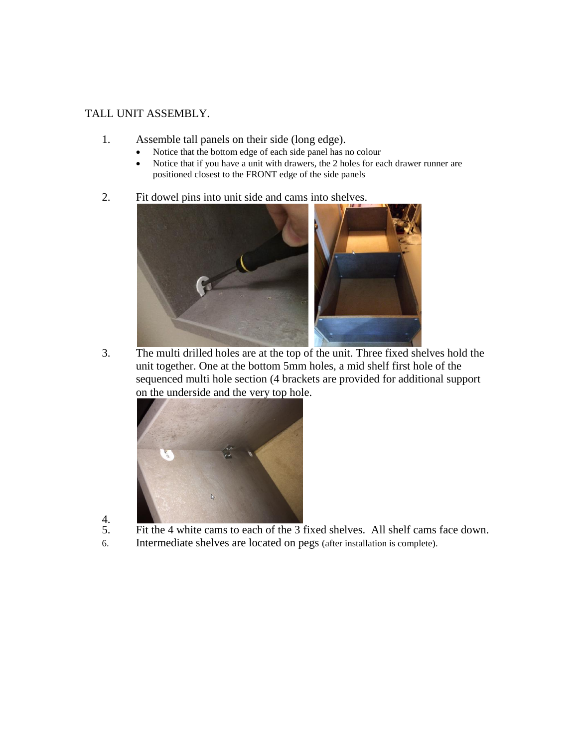## TALL UNIT ASSEMBLY.

- 1. Assemble tall panels on their side (long edge).
	- Notice that the bottom edge of each side panel has no colour
	- Notice that if you have a unit with drawers, the 2 holes for each drawer runner are positioned closest to the FRONT edge of the side panels
- 2. Fit dowel pins into unit side and cams into shelves.



3. The multi drilled holes are at the top of the unit. Three fixed shelves hold the unit together. One at the bottom 5mm holes, a mid shelf first hole of the sequenced multi hole section (4 brackets are provided for additional support on the underside and the very top hole.



- $rac{4}{5}$ .
	- Fit the 4 white cams to each of the 3 fixed shelves. All shelf cams face down.
- 6. Intermediate shelves are located on pegs (after installation is complete).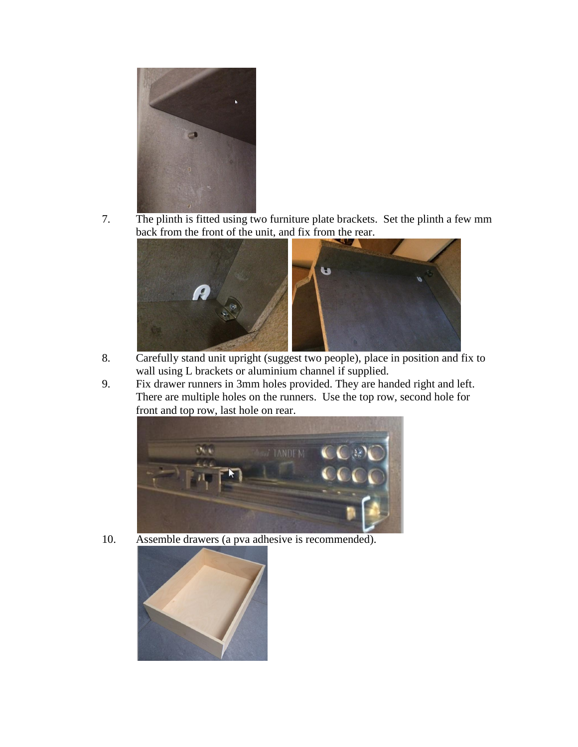

7. The plinth is fitted using two furniture plate brackets. Set the plinth a few mm back from the front of the unit, and fix from the rear.



- 8. Carefully stand unit upright (suggest two people), place in position and fix to wall using L brackets or aluminium channel if supplied.
- 9. Fix drawer runners in 3mm holes provided. They are handed right and left. There are multiple holes on the runners. Use the top row, second hole for front and top row, last hole on rear.



10. Assemble drawers (a pva adhesive is recommended).

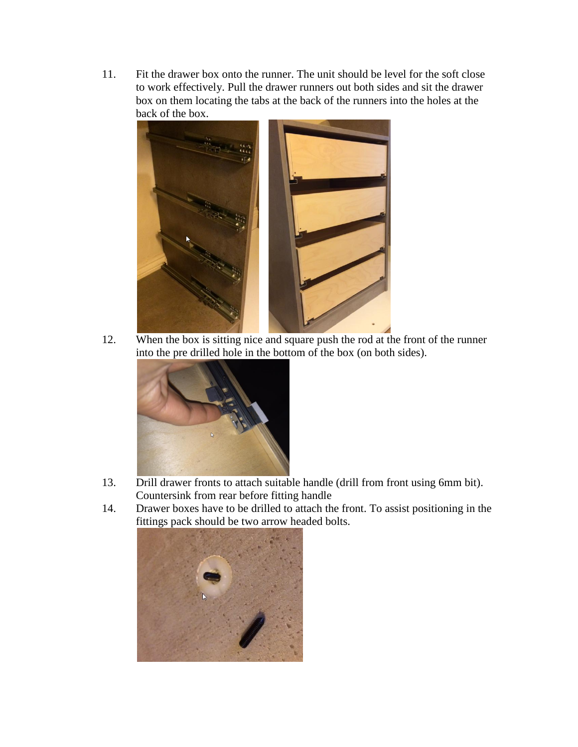11. Fit the drawer box onto the runner. The unit should be level for the soft close to work effectively. Pull the drawer runners out both sides and sit the drawer box on them locating the tabs at the back of the runners into the holes at the back of the box.



12. When the box is sitting nice and square push the rod at the front of the runner into the pre drilled hole in the bottom of the box (on both sides).



- 13. Drill drawer fronts to attach suitable handle (drill from front using 6mm bit). Countersink from rear before fitting handle
- 14. Drawer boxes have to be drilled to attach the front. To assist positioning in the fittings pack should be two arrow headed bolts.